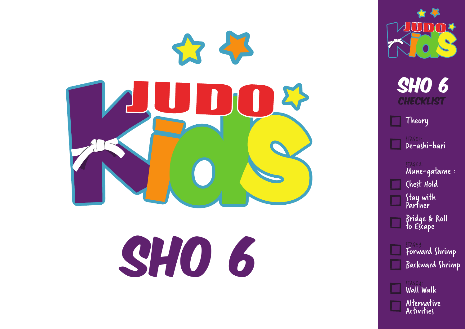



STAGE 2: Mune-gatame : Chest Hold Stay with Partner Bridge & Roll

to Escape

STAGE 3: Forward Shrimp Backward Shrimp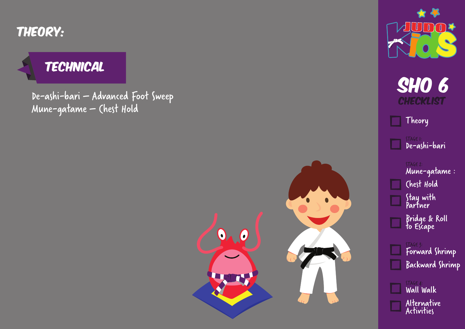Theory:

#### **TECHNICAL**

De-ashi-bari – Advanced Foot Sweep Mune-gatame – Chest Hold





**SHO 6 CHECKLIST** 

Theory I I

> STAGE 1: De-ashi-bari

STAGE 2: Mune-gatame : Chest Hold Stay with Partner

Bridge & Roll to Escape

STAGE 3: Forward Shrimp Backward Shrimp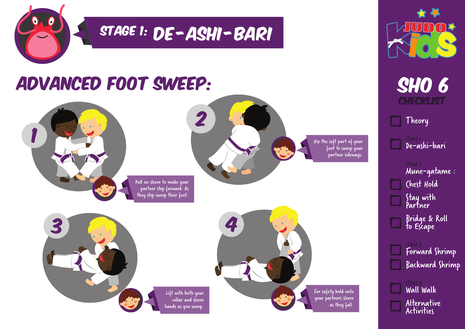

## STAGE 1: DE - ASHI - BARI

### Advanced Foot Sweep:



Pull on sleeve to make your partner step forward. As they step sweep their foot.







**SHO 6 CHECKLIST** 

Theory

STAGE 1: De-ashi-bari

STAGE 2: Mune-gatame : Chest Hold Stay with Partner

Bridge & Roll to Escape

STAGE 3: Forward Shrimp Backward Shrimp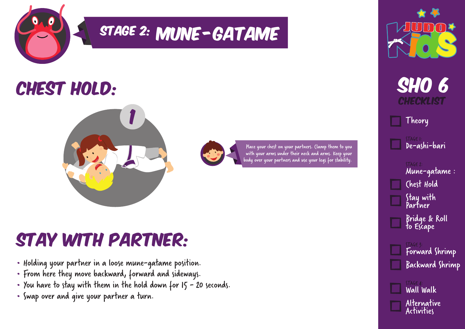

# STAGE 2: MUNE - GATAME

### CHEST HOLD:





Place your chest on your partners. Clamp them to you with your arms under their neck and arms. Keep your body over your partners and use your legs for stability.

### Stay with PArtner:

- Holding your partner in a loose mune-gatame position.
- From here they move backward, forward and sideways.
- You have to stay with them in the hold down for  $15 20$  seconds.
- Swap over and give your partner a turn.





Theory

STAGE 1: De-ashi-bari

STAGE 2: Mune-gatame : Chest Hold

Stay with Partner

Bridge & Roll to Escape

STAGE 3: Forward Shrimp Backward Shrimp

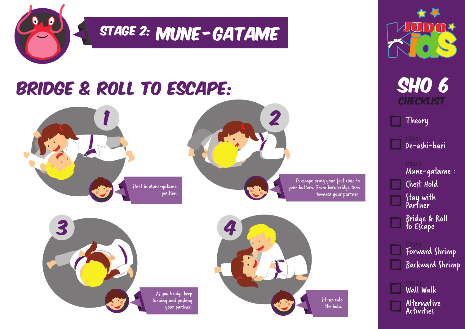

# STAGE 2: MUNE-GATAME

### Bridge & Roll to Escape:













Theory

STAGE 1: De-ashi-bari

STAGE 2: Mune-gatame : Chest Hold Stay with Partner

Bridge & Roll to Escape

STAGE 3: Forward Shrimp Backward Shrimp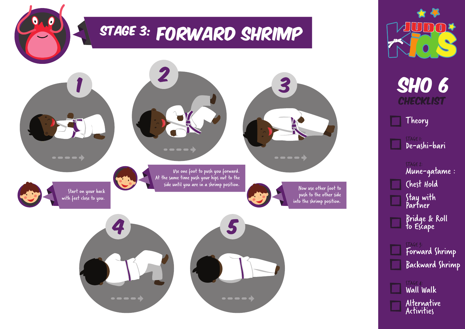



**SHO 6 CHECKLIST** 

Theory

STAGE 1: De-ashi-bari

STAGE 2: Mune-gatame : Chest Hold Stay with Partner

Bridge & Roll to Escape

STAGE 3: Forward Shrimp Backward Shrimp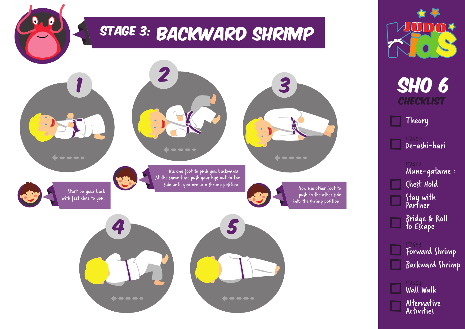